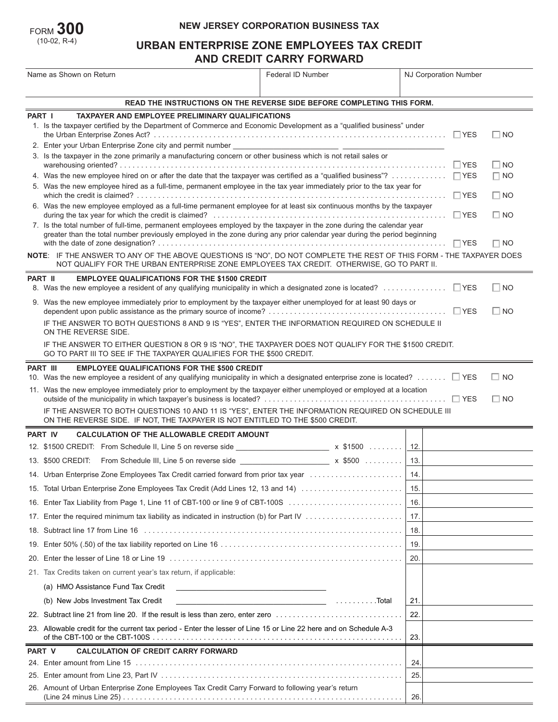| $_{\rm FORM}$ 300 |
|-------------------|
| $(10-02, R-4)$    |

## **NEW JERSEY CORPORATION BUSINESS TAX**

# **URBAN ENTERPRISE ZONE EMPLOYEES TAX CREDIT AND CREDIT CARRY FORWARD**

| Name as Shown on Return |                                                                                                                                                                                                                                                                 | Federal ID Number                                                      | NJ Corporation Number   |  |  |  |
|-------------------------|-----------------------------------------------------------------------------------------------------------------------------------------------------------------------------------------------------------------------------------------------------------------|------------------------------------------------------------------------|-------------------------|--|--|--|
|                         |                                                                                                                                                                                                                                                                 |                                                                        |                         |  |  |  |
|                         |                                                                                                                                                                                                                                                                 | READ THE INSTRUCTIONS ON THE REVERSE SIDE BEFORE COMPLETING THIS FORM. |                         |  |  |  |
|                         | <b>PART I</b><br><b>TAXPAYER AND EMPLOYEE PRELIMINARY QUALIFICATIONS</b><br>1. Is the taxpayer certified by the Department of Commerce and Economic Development as a "qualified business" under                                                                 |                                                                        | $\square$ NO            |  |  |  |
|                         | 3. Is the taxpayer in the zone primarily a manufacturing concern or other business which is not retail sales or                                                                                                                                                 |                                                                        |                         |  |  |  |
|                         |                                                                                                                                                                                                                                                                 |                                                                        | $\Box$ NO<br>$\Box$ YES |  |  |  |
|                         | 4. Was the new employee hired on or after the date that the taxpayer was certified as a "qualified business"?  TYES                                                                                                                                             |                                                                        | $\Box$ NO               |  |  |  |
|                         | 5. Was the new employee hired as a full-time, permanent employee in the tax year immediately prior to the tax year for                                                                                                                                          | $\Box$ NO                                                              |                         |  |  |  |
|                         | 6. Was the new employee employed as a full-time permanent employee for at least six continuous months by the taxpayer                                                                                                                                           |                                                                        | $\Box$ YES<br>$\Box$ NO |  |  |  |
|                         | 7. Is the total number of full-time, permanent employees employed by the taxpayer in the zone during the calendar year<br>greater than the total number previously employed in the zone during any prior calendar year during the period beginning<br>$\Box$ NO |                                                                        |                         |  |  |  |
|                         | NOTE: IF THE ANSWER TO ANY OF THE ABOVE QUESTIONS IS "NO", DO NOT COMPLETE THE REST OF THIS FORM - THE TAXPAYER DOES                                                                                                                                            |                                                                        |                         |  |  |  |
|                         | NOT QUALIFY FOR THE URBAN ENTERPRISE ZONE EMPLOYEES TAX CREDIT. OTHERWISE, GO TO PART II.                                                                                                                                                                       |                                                                        |                         |  |  |  |
| PART II                 | <b>EMPLOYEE QUALIFICATIONS FOR THE \$1500 CREDIT</b>                                                                                                                                                                                                            |                                                                        |                         |  |  |  |
|                         | 8. Was the new employee a resident of any qualifying municipality in which a designated zone is located? □ YES                                                                                                                                                  |                                                                        | $\Box$ NO               |  |  |  |
|                         | 9. Was the new employee immediately prior to employment by the taxpayer either unemployed for at least 90 days or                                                                                                                                               |                                                                        | $\Box$ NO               |  |  |  |
|                         | IF THE ANSWER TO BOTH QUESTIONS 8 AND 9 IS "YES", ENTER THE INFORMATION REQUIRED ON SCHEDULE II<br>ON THE REVERSE SIDE.                                                                                                                                         |                                                                        |                         |  |  |  |
|                         | IF THE ANSWER TO EITHER QUESTION 8 OR 9 IS "NO", THE TAXPAYER DOES NOT QUALIFY FOR THE \$1500 CREDIT.<br>GO TO PART III TO SEE IF THE TAXPAYER QUALIFIES FOR THE \$500 CREDIT.                                                                                  |                                                                        |                         |  |  |  |
|                         | PART III<br><b>EMPLOYEE QUALIFICATIONS FOR THE \$500 CREDIT</b>                                                                                                                                                                                                 |                                                                        |                         |  |  |  |
|                         | 10. Was the new employee a resident of any qualifying municipality in which a designated enterprise zone is located? $\Box$ YES<br>11. Was the new employee immediately prior to employment by the taxpayer either unemployed or employed at a location         |                                                                        | $\square$ NO            |  |  |  |
|                         |                                                                                                                                                                                                                                                                 |                                                                        | $\Box$ NO               |  |  |  |
|                         | IF THE ANSWER TO BOTH QUESTIONS 10 AND 11 IS "YES", ENTER THE INFORMATION REQUIRED ON SCHEDULE III<br>ON THE REVERSE SIDE. IF NOT, THE TAXPAYER IS NOT ENTITLED TO THE \$500 CREDIT.                                                                            |                                                                        |                         |  |  |  |
|                         | <b>PART IV</b><br><b>CALCULATION OF THE ALLOWABLE CREDIT AMOUNT</b>                                                                                                                                                                                             |                                                                        |                         |  |  |  |
|                         | 12. \$1500 CREDIT: From Schedule II, Line 5 on reverse side ______________________ x \$1500                                                                                                                                                                     |                                                                        | 12.                     |  |  |  |
|                         | 13. \$500 CREDIT: From Schedule III, Line 5 on reverse side ______________________ x \$500                                                                                                                                                                      |                                                                        | 13.                     |  |  |  |
|                         |                                                                                                                                                                                                                                                                 |                                                                        |                         |  |  |  |
|                         | 15. Total Urban Enterprise Zone Employees Tax Credit (Add Lines 12, 13 and 14)                                                                                                                                                                                  |                                                                        | 15.                     |  |  |  |
| 16.                     | Enter Tax Liability from Page 1, Line 11 of CBT-100 or line 9 of CBT-100S                                                                                                                                                                                       |                                                                        | 16.                     |  |  |  |
| 17.                     |                                                                                                                                                                                                                                                                 |                                                                        | 17.                     |  |  |  |
| 18.                     |                                                                                                                                                                                                                                                                 |                                                                        | 18.                     |  |  |  |
| 19.                     |                                                                                                                                                                                                                                                                 |                                                                        | 19.                     |  |  |  |
| 20.                     |                                                                                                                                                                                                                                                                 |                                                                        | 20.                     |  |  |  |
|                         | 21. Tax Credits taken on current year's tax return, if applicable:                                                                                                                                                                                              |                                                                        |                         |  |  |  |
|                         | (a) HMO Assistance Fund Tax Credit                                                                                                                                                                                                                              |                                                                        |                         |  |  |  |
|                         | (b) New Jobs Investment Tax Credit                                                                                                                                                                                                                              |                                                                        | 21.                     |  |  |  |
|                         | 22. Subtract line 21 from line 20. If the result is less than zero, enter zero                                                                                                                                                                                  |                                                                        | 22.                     |  |  |  |
|                         | 23. Allowable credit for the current tax period - Enter the lesser of Line 15 or Line 22 here and on Schedule A-3                                                                                                                                               |                                                                        | 23.                     |  |  |  |
| PART V                  | <b>CALCULATION OF CREDIT CARRY FORWARD</b>                                                                                                                                                                                                                      |                                                                        |                         |  |  |  |
|                         |                                                                                                                                                                                                                                                                 |                                                                        | 24.                     |  |  |  |
| 25.                     |                                                                                                                                                                                                                                                                 |                                                                        | 25.                     |  |  |  |
|                         | 26. Amount of Urban Enterprise Zone Employees Tax Credit Carry Forward to following year's return                                                                                                                                                               |                                                                        | 26.                     |  |  |  |